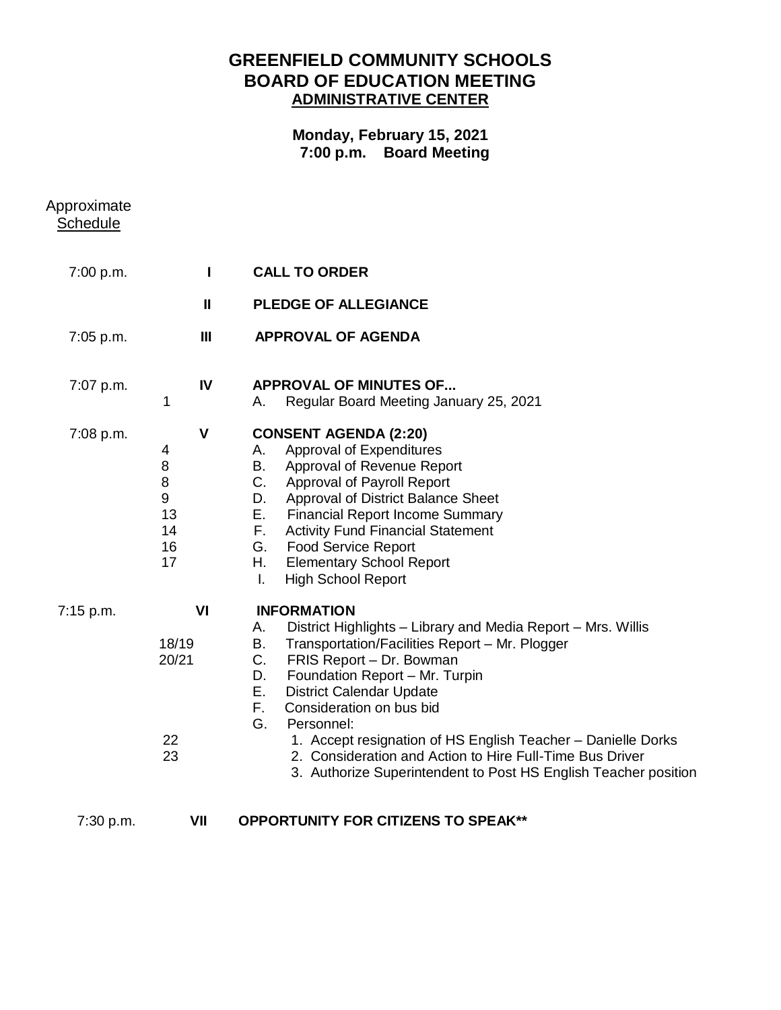## **GREENFIELD COMMUNITY SCHOOLS BOARD OF EDUCATION MEETING ADMINISTRATIVE CENTER**

## **Monday, February 15, 2021 7:00 p.m. Board Meeting**

| Approximate<br><b>Schedule</b> |                                                                         |                                                                                                                                                                                                                                                                                                                                                                                                                                                                                                                          |
|--------------------------------|-------------------------------------------------------------------------|--------------------------------------------------------------------------------------------------------------------------------------------------------------------------------------------------------------------------------------------------------------------------------------------------------------------------------------------------------------------------------------------------------------------------------------------------------------------------------------------------------------------------|
| 7:00 p.m.                      | П                                                                       | <b>CALL TO ORDER</b>                                                                                                                                                                                                                                                                                                                                                                                                                                                                                                     |
|                                | $\mathbf{I}$                                                            | <b>PLEDGE OF ALLEGIANCE</b>                                                                                                                                                                                                                                                                                                                                                                                                                                                                                              |
| 7:05 p.m.                      | $\mathbf{III}$                                                          | <b>APPROVAL OF AGENDA</b>                                                                                                                                                                                                                                                                                                                                                                                                                                                                                                |
| 7:07 p.m.                      | IV<br>1                                                                 | <b>APPROVAL OF MINUTES OF</b><br>Regular Board Meeting January 25, 2021<br>Α.                                                                                                                                                                                                                                                                                                                                                                                                                                            |
| 7:08 p.m.                      | $\mathsf{V}$<br>4<br>8<br>8<br>$\boldsymbol{9}$<br>13<br>14<br>16<br>17 | <b>CONSENT AGENDA (2:20)</b><br>Approval of Expenditures<br>А.<br>Approval of Revenue Report<br>В.<br>C.<br>Approval of Payroll Report<br>Approval of District Balance Sheet<br>D.<br>Е.<br><b>Financial Report Income Summary</b><br>F.<br><b>Activity Fund Financial Statement</b><br>G.<br><b>Food Service Report</b><br><b>Elementary School Report</b><br>Η.<br><b>High School Report</b><br>Ι.                                                                                                                     |
| 7:15 p.m.                      | VI<br>18/19<br>20/21<br>22<br>23                                        | <b>INFORMATION</b><br>District Highlights - Library and Media Report - Mrs. Willis<br>А.<br>В.<br>Transportation/Facilities Report - Mr. Plogger<br>C.<br>FRIS Report - Dr. Bowman<br>Foundation Report - Mr. Turpin<br>D.<br>Е.<br><b>District Calendar Update</b><br>F.<br>Consideration on bus bid<br>G.<br>Personnel:<br>1. Accept resignation of HS English Teacher - Danielle Dorks<br>2. Consideration and Action to Hire Full-Time Bus Driver<br>3. Authorize Superintendent to Post HS English Teacher position |
| 7:30 p.m.                      | VII                                                                     | <b>OPPORTUNITY FOR CITIZENS TO SPEAK**</b>                                                                                                                                                                                                                                                                                                                                                                                                                                                                               |